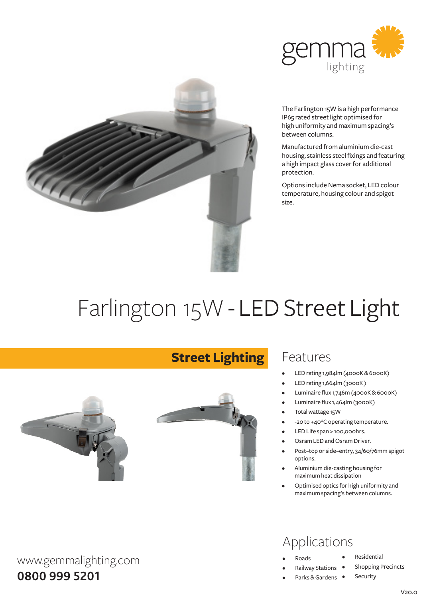



The Farlington 15W is a high performance IP65 rated street light optimised for high uniformity and maximum spacing's between columns.

Manufactured fromaluminiumdie-cast housing, stainless steel fixings and featuring a high impact glass cover for additional protection.

Options include Nema socket, LED colour temperature, housing colour and spigot size.

# Farlington 15W - LED Street Light



**Street Lighting**

### Features

- LED rating 1,984lm (4000K & 6000K)
- LED rating 1,664lm (3000K)
- Luminaire flux 1,746m (4000K&6000K)
- Luminaire flux 1,464lm (3000K)
- Total wattage 15W
- -20 to +40°C operating temperature.
- LED Life span > 100,000hrs.
- Osram LED and Osram Driver.
- Post-top or side-entry, 34/60/76mm spigot options.
- Aluminium die-casting housing for maximumheat dissipation
- Optimised optics for high uniformity and maximumspacing's between columns.

### Applications

- **Roads**
- **Railway Stations**
- Parks & Gardens •
- **Residential**
- Shopping Precincts
	- Security

www.gemmalighting.com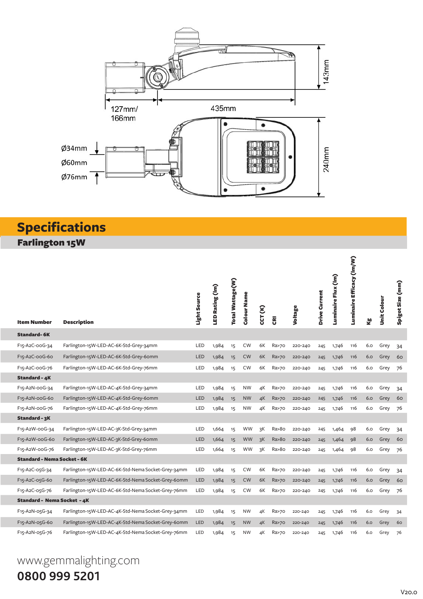

## **Specifications**

Farlington 15W

| <b>Item Number</b>                       | <b>Description</b>                                 | Light Source | LED Rating (Im) | Total Wattage(W) | Colour Name | <b>CCT (K)</b> | g       | Voltage | Drive Current | Luminaire Flux (Im) | Luminaire Efficacy (Im/W) | త్త | <b>Unit Colour</b> | Spigot Size (mm) |
|------------------------------------------|----------------------------------------------------|--------------|-----------------|------------------|-------------|----------------|---------|---------|---------------|---------------------|---------------------------|-----|--------------------|------------------|
| <b>Standard-6K</b>                       |                                                    |              |                 |                  |             |                |         |         |               |                     |                           |     |                    |                  |
| F15-A2C-00G-34                           | Farlington-15W-LED-AC-6K-Std-Grey-34mm             | LED          | 1,984           | 15               | <b>CW</b>   | 6K             | Ra>70   | 220-240 | 245           | 1,746               | 116                       | 6.0 | Grey               | 34               |
| F <sub>15</sub> -A <sub>2</sub> C-ooG-6o | Farlington-15W-LED-AC-6K-Std-Grey-6omm             | <b>LED</b>   | 1,984           | 15               | <b>CW</b>   | 6K             | Ra>70   | 220-240 | 245           | 1,746               | 116                       | 6.0 | Grey               | 60               |
| F15-A2C-00G-76                           | Farlington-15W-LED-AC-6K-Std-Grey-76mm             | LED          | 1,984           | 15               | <b>CW</b>   | 6K             | Ra>70   | 220-240 | 245           | 1,746               | 116                       | 6.0 | Grey               | 76               |
| <b>Standard - 4K</b>                     |                                                    |              |                 |                  |             |                |         |         |               |                     |                           |     |                    |                  |
| F15-A2N-00G-34                           | Farlington-15W-LED-AC-4K-Std-Grey-34mm             | LED          | 1,984           | 15               | <b>NW</b>   | 4K             | Ra>70   | 220-240 | 245           | 1,746               | 116                       | 6.0 | Grey               | 34               |
| F15-A2N-00G-60                           | Farlington-15W-LED-AC-4K-Std-Grey-6omm             | <b>LED</b>   | 1,984           | 15               | <b>NW</b>   | 4K             | Ra>70   | 220-240 | 245           | 1,746               | 116                       | 6.0 | Grey               | 60               |
| F15-A2N-00G-76                           | Farlington-15W-LED-AC-4K-Std-Grey-76mm             | LED          | 1,984           | 15               | <b>NW</b>   | 4K             | Ra>70   | 220-240 | 245           | 1,746               | 116                       | 6.0 | Grey               | 76               |
| Standard - 3K                            |                                                    |              |                 |                  |             |                |         |         |               |                     |                           |     |                    |                  |
| F15-A2W-00G-34                           | Farlington-15W-LED-AC-3K-Std-Grey-34mm             | LED          | 1,664           | 15               | <b>WW</b>   | зK             | Ra>8o   | 220-240 | 245           | 1,464               | 98                        | 6.0 | Grey               | 34               |
| F <sub>15</sub> -A <sub>2</sub> W-ooG-60 | Farlington-15W-LED-AC-3K-Std-Grey-6omm             | LED          | 1,664           | 15               | <b>WW</b>   | 3K             | Ra > 80 | 220-240 | 245           | 1,464               | 98                        | 6.0 | Grey               | 60               |
| F15-A2W-00G-76                           | Farlington-15W-LED-AC-3K-Std-Grey-76mm             | LED          | 1,664           | 15               | <b>WW</b>   | 3K             | Ra>8o   | 220-240 | 245           | 1,464               | 98                        | 6.0 | Grey               | 76               |
| <b>Standard - Nema Socket - 6K</b>       |                                                    |              |                 |                  |             |                |         |         |               |                     |                           |     |                    |                  |
| F15-A2C-05G-34                           | Farlington-15W-LED-AC-6K-Std-Nema Socket-Grey-34mm | LED          | 1,984           | 15               | <b>CW</b>   | 6K             | Ra>70   | 220-240 | 245           | 1,746               | 116                       | 6.0 | Grey               | 34               |
| F15-A2C-05G-60                           | Farlington-15W-LED-AC-6K-Std-Nema Socket-Grey-6omm | LED          | 1,984           | 15               | <b>CW</b>   | 6K             | Ra>70   | 220-240 | 245           | 1,746               | 116                       | 6.0 | Grey               | 60               |
| F15-A2C-05G-76                           | Farlington-15W-LED-AC-6K-Std-Nema Socket-Grey-76mm | LED          | 1,984           | 15               | <b>CW</b>   | 6K             | Ra>70   | 220-240 | 245           | 1,746               | 116                       | 6.0 | Grey               | 76               |
| Standard - Nema Socket - 4K              |                                                    |              |                 |                  |             |                |         |         |               |                     |                           |     |                    |                  |
| F15-A2N-05G-34                           | Farlington-15W-LED-AC-4K-Std-Nema Socket-Grey-34mm | LED          | 1,984           | 15               | <b>NW</b>   | 4К             | Ra>70   | 220-240 | 245           | 1,746               | 116                       | 6.0 | Grey               | 34               |
| F15-A2N-05G-60                           | Farlington-15W-LED-AC-4K-Std-Nema Socket-Grey-60mm | LED          | 1,984           | 15               | <b>NW</b>   | 4K             | Ra>70   | 220-240 | 245           | 1,746               | 116                       | 6.0 | Grey               | 60               |
| F15-A2N-05G-76                           | Farlington-15W-LED-AC-4K-Std-Nema Socket-Grey-76mm | LED          | 1,984           | 15               | <b>NW</b>   | 4K             | Ra>70   | 220-240 | 245           | 1,746               | 116                       | 6.0 | Grey               | 76               |

# www.gemmalighting.com